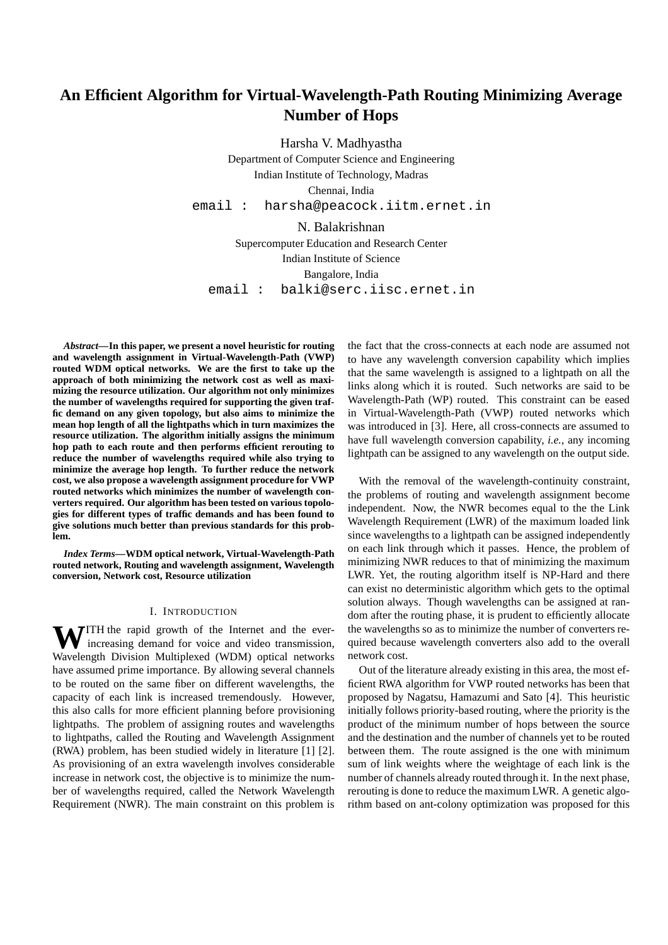# **An Efficient Algorithm for Virtual-Wavelength-Path Routing Minimizing Average Number of Hops**

Harsha V. Madhyastha Department of Computer Science and Engineering Indian Institute of Technology, Madras Chennai, India email : harsha@peacock.iitm.ernet.in

N. Balakrishnan

Supercomputer Education and Research Center Indian Institute of Science Bangalore, India email : balki@serc.iisc.ernet.in

*Abstract***—In this paper, we present a novel heuristic for routing and wavelength assignment in Virtual-Wavelength-Path (VWP) routed WDM optical networks. We are the first to take up the approach of both minimizing the network cost as well as maximizing the resource utilization. Our algorithm not only minimizes the number of wavelengths required for supporting the given traffic demand on any given topology, but also aims to minimize the mean hop length of all the lightpaths which in turn maximizes the resource utilization. The algorithm initially assigns the minimum hop path to each route and then performs efficient rerouting to reduce the number of wavelengths required while also trying to minimize the average hop length. To further reduce the network cost, we also propose a wavelength assignment procedure for VWP routed networks which minimizes the number of wavelength converters required. Our algorithm has been tested on various topologies for different types of traffic demands and has been found to give solutions much better than previous standards for this problem.**

*Index Terms***—WDM optical network, Virtual-Wavelength-Path routed network, Routing and wavelength assignment, Wavelength conversion, Network cost, Resource utilization**

#### I. INTRODUCTION

WITH the rapid growth of the Internet and the everincreasing demand for voice and video transmission, Wavelength Division Multiplexed (WDM) optical networks have assumed prime importance. By allowing several channels to be routed on the same fiber on different wavelengths, the capacity of each link is increased tremendously. However, this also calls for more efficient planning before provisioning lightpaths. The problem of assigning routes and wavelengths to lightpaths, called the Routing and Wavelength Assignment (RWA) problem, has been studied widely in literature [1] [2]. As provisioning of an extra wavelength involves considerable increase in network cost, the objective is to minimize the number of wavelengths required, called the Network Wavelength Requirement (NWR). The main constraint on this problem is the fact that the cross-connects at each node are assumed not to have any wavelength conversion capability which implies that the same wavelength is assigned to a lightpath on all the links along which it is routed. Such networks are said to be Wavelength-Path (WP) routed. This constraint can be eased in Virtual-Wavelength-Path (VWP) routed networks which was introduced in [3]. Here, all cross-connects are assumed to have full wavelength conversion capability, *i.e.*, any incoming lightpath can be assigned to any wavelength on the output side.

With the removal of the wavelength-continuity constraint, the problems of routing and wavelength assignment become independent. Now, the NWR becomes equal to the the Link Wavelength Requirement (LWR) of the maximum loaded link since wavelengths to a lightpath can be assigned independently on each link through which it passes. Hence, the problem of minimizing NWR reduces to that of minimizing the maximum LWR. Yet, the routing algorithm itself is NP-Hard and there can exist no deterministic algorithm which gets to the optimal solution always. Though wavelengths can be assigned at random after the routing phase, it is prudent to efficiently allocate the wavelengths so as to minimize the number of converters required because wavelength converters also add to the overall network cost.

Out of the literature already existing in this area, the most efficient RWA algorithm for VWP routed networks has been that proposed by Nagatsu, Hamazumi and Sato [4]. This heuristic initially follows priority-based routing, where the priority is the product of the minimum number of hops between the source and the destination and the number of channels yet to be routed between them. The route assigned is the one with minimum sum of link weights where the weightage of each link is the number of channels already routed through it. In the next phase, rerouting is done to reduce the maximum LWR. A genetic algorithm based on ant-colony optimization was proposed for this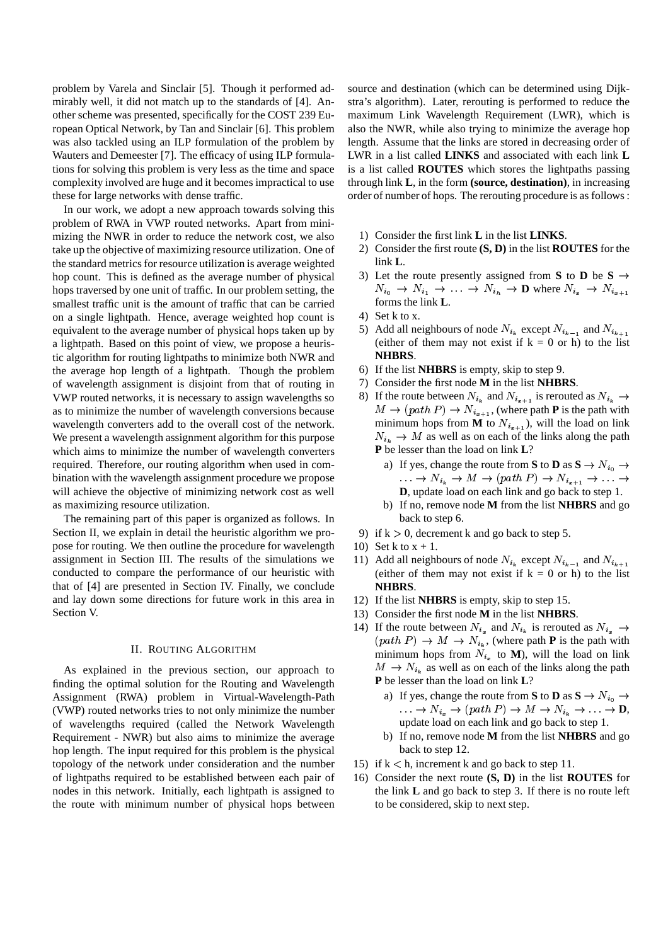problem by Varela and Sinclair [5]. Though it performed admirably well, it did not match up to the standards of [4]. Another scheme was presented, specifically for the COST 239 European Optical Network, by Tan and Sinclair [6]. This problem was also tackled using an ILP formulation of the problem by Wauters and Demeester [7]. The efficacy of using ILP formulations for solving this problem is very less as the time and space complexity involved are huge and it becomes impractical to use these for large networks with dense traffic.

In our work, we adopt a new approach towards solving this problem of RWA in VWP routed networks. Apart from minimizing the NWR in order to reduce the network cost, we also take up the objective of maximizing resource utilization. One of the standard metrics for resource utilization is average weighted hop count. This is defined as the average number of physical hops traversed by one unit of traffic. In our problem setting, the smallest traffic unit is the amount of traffic that can be carried on a single lightpath. Hence, average weighted hop count is equivalent to the average number of physical hops taken up by a lightpath. Based on this point of view, we propose a heuristic algorithm for routing lightpaths to minimize both NWR and the average hop length of a lightpath. Though the problem of wavelength assignment is disjoint from that of routing in VWP routed networks, it is necessary to assign wavelengths so as to minimize the number of wavelength conversions because wavelength converters add to the overall cost of the network. We present a wavelength assignment algorithm for this purpose which aims to minimize the number of wavelength converters required. Therefore, our routing algorithm when used in combination with the wavelength assignment procedure we propose will achieve the objective of minimizing network cost as well as maximizing resource utilization.

The remaining part of this paper is organized as follows. In Section II, we explain in detail the heuristic algorithm we propose for routing. We then outline the procedure for wavelength assignment in Section III. The results of the simulations we conducted to compare the performance of our heuristic with that of [4] are presented in Section IV. Finally, we conclude and lay down some directions for future work in this area in Section V.

### II. ROUTING ALGORITHM

As explained in the previous section, our approach to finding the optimal solution for the Routing and Wavelength Assignment (RWA) problem in Virtual-Wavelength-Path (VWP) routed networks tries to not only minimize the number of wavelengths required (called the Network Wavelength Requirement - NWR) but also aims to minimize the average hop length. The input required for this problem is the physical topology of the network under consideration and the number of lightpaths required to be established between each pair of nodes in this network. Initially, each lightpath is assigned to the route with minimum number of physical hops between source and destination (which can be determined using Dijkstra's algorithm). Later, rerouting is performed to reduce the maximum Link Wavelength Requirement (LWR), which is also the NWR, while also trying to minimize the average hop length. Assume that the links are stored in decreasing order of LWR in a list called **LINKS** and associated with each link **L** is a list called **ROUTES** which stores the lightpaths passing through link **L**, in the form **(source, destination)**, in increasing order of number of hops. The rerouting procedure is as follows :

- 1) Consider the first link **L** in the list **LINKS**.
- 2) Consider the first route **(S, D)** in the list **ROUTES** for the link **L**.
- 3) Let the route presently assigned from **S** to **D** be **S**  $\rightarrow$  $N_{i_0} \to N_{i_1} \to \ldots \to N_{i_h} \to \mathbf{D}$  where  $N_{i_n} \to N_{i_{n+1}}$ forms the link **L**.
- 4) Set k to x.
- 5) Add all neighbours of node  $N_{i_k}$  except  $N_{i_{k-1}}$  and  $N_{i_{k+1}}$ (either of them may not exist if  $k = 0$  or h) to the list **NHBRS**.
- 6) If the list **NHBRS** is empty, skip to step 9.
- 7) Consider the first node **M** in the list **NHBRS**.
- 8) If the route between  $N_{i_k}$  and  $N_{i_{k+1}}$  is rerouted as  $N_{i_k} \to$  $M \to (path P) \to N_{i_{n+1}}$ , (where path **P** is the path with minimum hops from **M** to  $N_{i_{n+1}}$ ), will the load on link  $N_{i_k} \to M$  as well as on each of the links along the path **P** be lesser than the load on link **L**?
	- a) If yes, change the route from **S** to **D** as  $S \rightarrow N_{i_0} \rightarrow$  $\mathbf{M} \times \mathbf{M} \times (\ldots \mathbf{M} \mathbf{D}) \times \mathbf{M}$ **D**, update load on each link and go back to step 1.
	- b) If no, remove node **M** from the list **NHBRS** and go back to step 6.
- 9) if  $k > 0$ , decrement k and go back to step 5.
- 10) Set k to  $x + 1$ .
- 11) Add all neighbours of node  $N_{i_k}$  except  $N_{i_{k-1}}$  and  $N_{i_{k+1}}$ (either of them may not exist if  $k = 0$  or h) to the list **NHBRS**.
- 12) If the list **NHBRS** is empty, skip to step 15.
- 13) Consider the first node **M** in the list **NHBRS**.
- 14) If the route between  $N_{i_n}$  and  $N_{i_k}$  is rerouted as  $N_{i_n} \rightarrow$  $(path \ P) \rightarrow M \rightarrow N_{i_k}$ , (where path **P** is the path with minimum hops from  $N_{i_{\pi}}$  to **M**), will the load on link  $M \to N_{i_k}$  as well as on each of the links along the path **P** be lesser than the load on link **L**?
	- a) If yes, change the route from **S** to **D** as  $S \rightarrow N_{i_0} \rightarrow$  $\ldots \to N_{i_n} \to (path P) \to M \to N_{i_n} \to \ldots \to \mathbf{D},$ update load on each link and go back to step 1.
	- b) If no, remove node **M** from the list **NHBRS** and go back to step 12.
- 15) if  $k < h$ , increment k and go back to step 11.
- 16) Consider the next route **(S, D)** in the list **ROUTES** for the link **L** and go back to step 3. If there is no route left to be considered, skip to next step.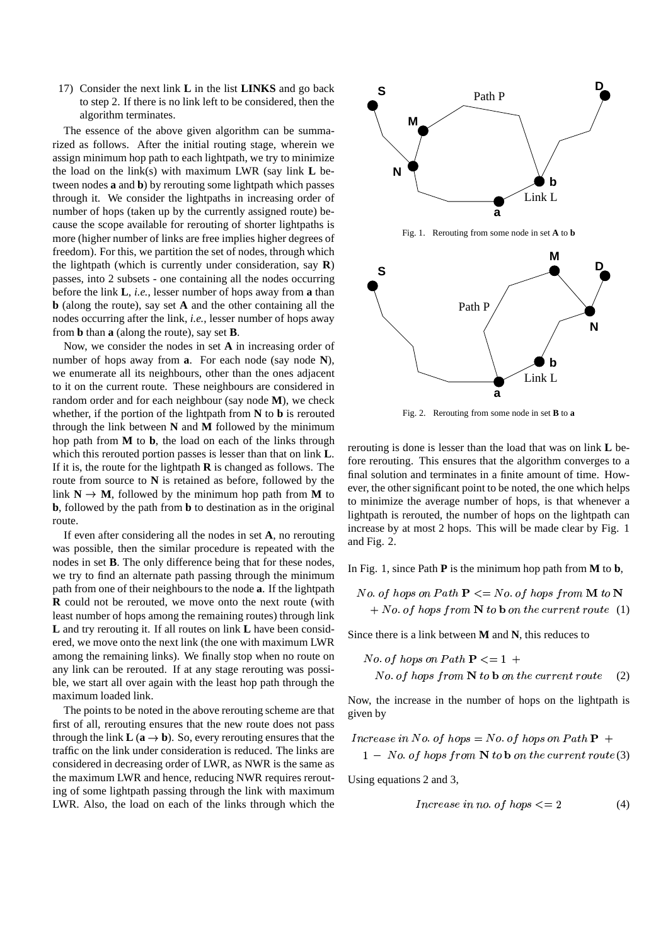17) Consider the next link **L** in the list **LINKS** and go back to step 2. If there is no link left to be considered, then the algorithm terminates.

The essence of the above given algorithm can be summarized as follows. After the initial routing stage, wherein we assign minimum hop path to each lightpath, we try to minimize the load on the link(s) with maximum LWR (say link **L** between nodes **a** and **b**) by rerouting some lightpath which passes through it. We consider the lightpaths in increasing order of number of hops (taken up by the currently assigned route) because the scope available for rerouting of shorter lightpaths is more (higher number of links are free implies higher degrees of freedom). For this, we partition the set of nodes, through which the lightpath (which is currently under consideration, say **R**) passes, into 2 subsets - one containing all the nodes occurring before the link **L**, *i.e.*, lesser number of hops away from **a** than **b** (along the route), say set **A** and the other containing all the nodes occurring after the link, *i.e.*, lesser number of hops away from **b** than **a** (along the route), say set **B**.

Now, we consider the nodes in set **A** in increasing order of number of hops away from **a**. For each node (say node **N**), we enumerate all its neighbours, other than the ones adjacent to it on the current route. These neighbours are considered in random order and for each neighbour (say node **M**), we check whether, if the portion of the lightpath from **N** to **b** is rerouted through the link between **N** and **M** followed by the minimum hop path from **M** to **b**, the load on each of the links through which this rerouted portion passes is lesser than that on link **L**. If it is, the route for the lightpath **R** is changed as follows. The route from source to **N** is retained as before, followed by the link  $N \to M$ , followed by the minimum hop path from M to **b**, followed by the path from **b** to destination as in the original route.

If even after considering all the nodes in set **A**, no rerouting was possible, then the similar procedure is repeated with the nodes in set **B**. The only difference being that for these nodes, we try to find an alternate path passing through the minimum path from one of their neighbours to the node **a**. If the lightpath **R** could not be rerouted, we move onto the next route (with least number of hops among the remaining routes) through link **L** and try rerouting it. If all routes on link **L** have been considered, we move onto the next link (the one with maximum LWR among the remaining links). We finally stop when no route on any link can be rerouted. If at any stage rerouting was possible, we start all over again with the least hop path through the maximum loaded link.

The points to be noted in the above rerouting scheme are that first of all, rerouting ensures that the new route does not pass through the link  $L(a \rightarrow b)$ . So, every rerouting ensures that the traffic on the link under consideration is reduced. The links are considered in decreasing order of LWR, as NWR is the same as the maximum LWR and hence, reducing NWR requires rerouting of some lightpath passing through the link with maximum LWR. Also, the load on each of the links through which the



Fig. 2. Rerouting from some node in set **B** to **a**

rerouting is done is lesser than the load that was on link **L** before rerouting. This ensures that the algorithm converges to a final solution and terminates in a finite amount of time. However, the other significant point to be noted, the one which helps to minimize the average number of hops, is that whenever a lightpath is rerouted, the number of hops on the lightpath can increase by at most 2 hops. This will be made clear by Fig. 1 and Fig. 2.

In Fig. 1, since Path **P** is the minimum hop path from **M** to **b**,

No. of hops on Path 
$$
P \leq No
$$
. of hops from **M** to **N**  
+ No. of hops from **N** to **b** on the current route (1)

Since there is a link between **M** and **N**, this reduces to

No. of hops on Path 
$$
P \leq 1 +
$$
  
No. of hops from **N** to **b** on the current route (2)

Now, the increase in the number of hops on the lightpath is given by

$$
Increase in No. of hops = No. of hops on Path P +1 - No. of hops from N to b on the current route (3)
$$

Using equations 2 and 3,

$$
Increase in no. of hops \leq 2 \tag{4}
$$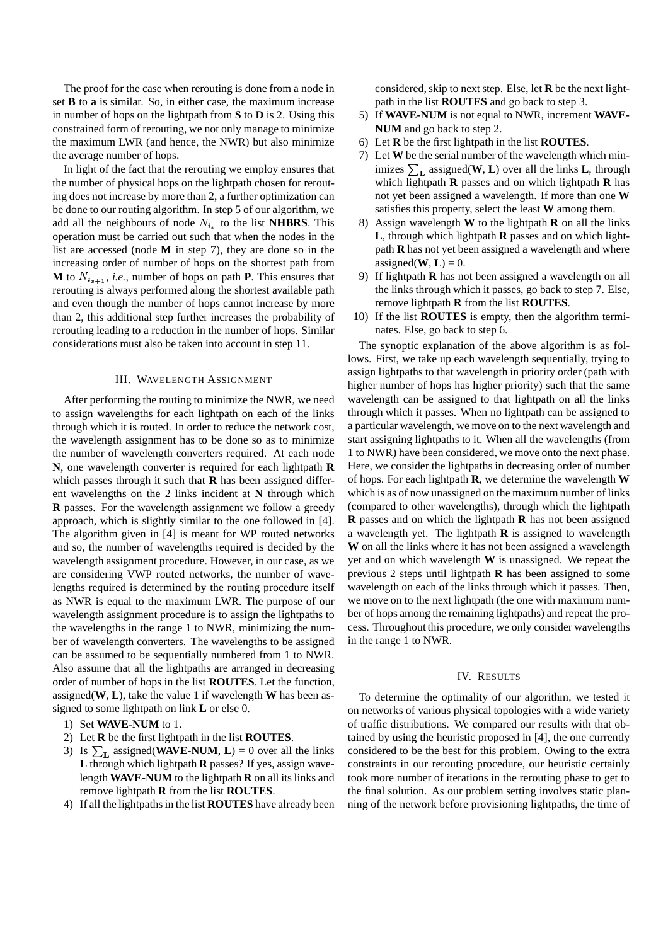The proof for the case when rerouting is done from a node in set **B** to **a** is similar. So, in either case, the maximum increase in number of hops on the lightpath from **S** to **D** is 2. Using this constrained form of rerouting, we not only manage to minimize the maximum LWR (and hence, the NWR) but also minimize the average number of hops.

In light of the fact that the rerouting we employ ensures that the number of physical hops on the lightpath chosen for rerouting does not increase by more than 2, a further optimization can be done to our routing algorithm. In step 5 of our algorithm, we add all the neighbours of node  $N_{i_k}$  to the list **NHBRS**. This operation must be carried out such that when the nodes in the list are accessed (node **M** in step 7), they are done so in the increasing order of number of hops on the shortest path from **M** to  $N_{i_{n+1}},$  *i.e.*, number of hops on path **P**. This ensures that rerouting is always performed along the shortest available path and even though the number of hops cannot increase by more than 2, this additional step further increases the probability of rerouting leading to a reduction in the number of hops. Similar considerations must also be taken into account in step 11.

# III. WAVELENGTH ASSIGNMENT

After performing the routing to minimize the NWR, we need to assign wavelengths for each lightpath on each of the links through which it is routed. In order to reduce the network cost, the wavelength assignment has to be done so as to minimize the number of wavelength converters required. At each node **N**, one wavelength converter is required for each lightpath **R** which passes through it such that **R** has been assigned different wavelengths on the 2 links incident at **N** through which **R** passes. For the wavelength assignment we follow a greedy approach, which is slightly similar to the one followed in [4]. The algorithm given in [4] is meant for WP routed networks and so, the number of wavelengths required is decided by the wavelength assignment procedure. However, in our case, as we are considering VWP routed networks, the number of wavelengths required is determined by the routing procedure itself as NWR is equal to the maximum LWR. The purpose of our wavelength assignment procedure is to assign the lightpaths to the wavelengths in the range 1 to NWR, minimizing the number of wavelength converters. The wavelengths to be assigned can be assumed to be sequentially numbered from 1 to NWR. Also assume that all the lightpaths are arranged in decreasing order of number of hops in the list **ROUTES**. Let the function, assigned(**W**, **L**), take the value 1 if wavelength **W** has been assigned to some lightpath on link **L** or else 0.

- 1) Set **WAVE-NUM** to 1.
- 2) Let **R** be the first lightpath in the list **ROUTES**.
- 3) Is  $\sum_{\mathbf{L}}$  assigned(**WAVE-NUM**, **L**) = 0 over all the links **L** through which lightpath **R** passes? If yes, assign wavelength **WAVE-NUM** to the lightpath **R** on all its links and remove lightpath **R** from the list **ROUTES**.
- 4) If all the lightpaths in the list **ROUTES** have already been

considered, skip to next step. Else, let **R** be the next lightpath in the list **ROUTES** and go back to step 3.

- 5) If **WAVE-NUM** is not equal to NWR, increment **WAVE-NUM** and go back to step 2.
- 6) Let **R** be the first lightpath in the list **ROUTES**.
- 7) Let **W** be the serial number of the wavelength which minimizes  $\sum_{\mathbf{L}}$  assigned(**W**, **L**) over all the links **L**, through which lightpath **R** passes and on which lightpath **R** has not yet been assigned a wavelength. If more than one **W** satisfies this property, select the least **W** among them.
- 8) Assign wavelength **W** to the lightpath **R** on all the links **L**, through which lightpath **R** passes and on which lightpath **R** has not yet been assigned a wavelength and where assigned $(\mathbf{W}, \mathbf{L}) = 0$ .
- 9) If lightpath **R** has not been assigned a wavelength on all the links through which it passes, go back to step 7. Else, remove lightpath **R** from the list **ROUTES**.
- 10) If the list **ROUTES** is empty, then the algorithm terminates. Else, go back to step 6.

The synoptic explanation of the above algorithm is as follows. First, we take up each wavelength sequentially, trying to assign lightpaths to that wavelength in priority order (path with higher number of hops has higher priority) such that the same wavelength can be assigned to that lightpath on all the links through which it passes. When no lightpath can be assigned to a particular wavelength, we move on to the next wavelength and start assigning lightpaths to it. When all the wavelengths (from 1 to NWR) have been considered, we move onto the next phase. Here, we consider the lightpaths in decreasing order of number of hops. For each lightpath **R**, we determine the wavelength **W** which is as of now unassigned on the maximum number of links (compared to other wavelengths), through which the lightpath **R** passes and on which the lightpath **R** has not been assigned a wavelength yet. The lightpath **R** is assigned to wavelength **W** on all the links where it has not been assigned a wavelength yet and on which wavelength **W** is unassigned. We repeat the previous 2 steps until lightpath **R** has been assigned to some wavelength on each of the links through which it passes. Then, we move on to the next lightpath (the one with maximum number of hops among the remaining lightpaths) and repeat the process. Throughout this procedure, we only consider wavelengths in the range 1 to NWR.

#### IV. RESULTS

To determine the optimality of our algorithm, we tested it on networks of various physical topologies with a wide variety of traffic distributions. We compared our results with that obtained by using the heuristic proposed in [4], the one currently considered to be the best for this problem. Owing to the extra constraints in our rerouting procedure, our heuristic certainly took more number of iterations in the rerouting phase to get to the final solution. As our problem setting involves static planning of the network before provisioning lightpaths, the time of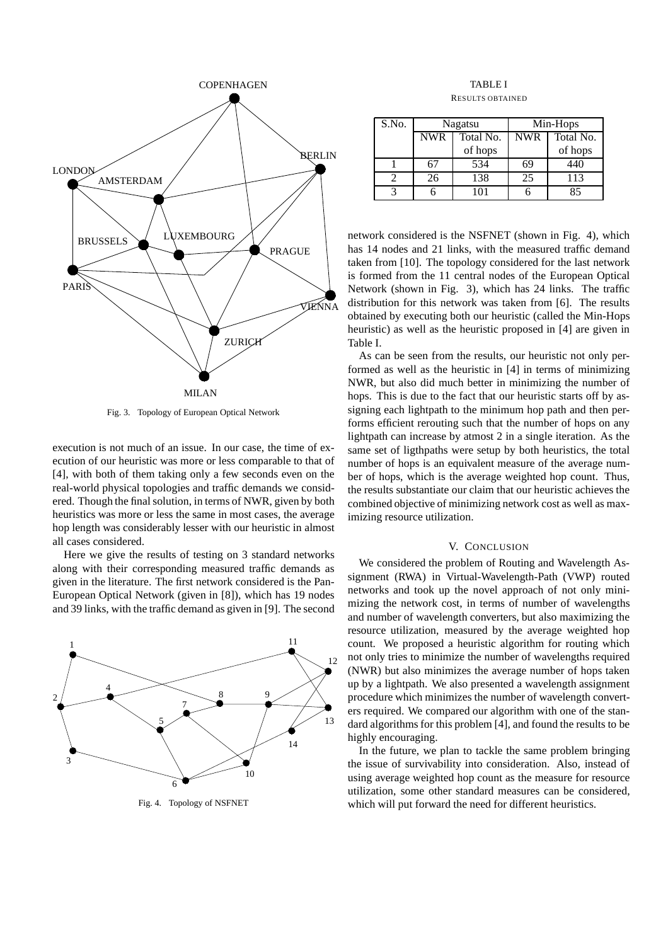

Fig. 3. Topology of European Optical Network

execution is not much of an issue. In our case, the time of execution of our heuristic was more or less comparable to that of [4], with both of them taking only a few seconds even on the real-world physical topologies and traffic demands we considered. Though the final solution, in terms of NWR, given by both heuristics was more or less the same in most cases, the average hop length was considerably lesser with our heuristic in almost all cases considered.

Here we give the results of testing on 3 standard networks along with their corresponding measured traffic demands as given in the literature. The first network considered is the Pan-European Optical Network (given in [8]), which has 19 nodes and 39 links, with the traffic demand as given in [9]. The second



Fig. 4. Topology of NSFNET

TABLE I RESULTS OBTAINED

| S.No. | Nagatsu    |           | Min-Hops   |           |
|-------|------------|-----------|------------|-----------|
|       | <b>NWR</b> | Total No. | <b>NWR</b> | Total No. |
|       |            | of hops   |            | of hops   |
|       | 67         | 534       | 69         | 440       |
|       | 26         | 138       | 25         | 113       |
|       |            | 101       |            | 85        |

network considered is the NSFNET (shown in Fig. 4), which has 14 nodes and 21 links, with the measured traffic demand taken from [10]. The topology considered for the last network is formed from the 11 central nodes of the European Optical Network (shown in Fig. 3), which has 24 links. The traffic distribution for this network was taken from [6]. The results obtained by executing both our heuristic (called the Min-Hops heuristic) as well as the heuristic proposed in [4] are given in Table I.

As can be seen from the results, our heuristic not only performed as well as the heuristic in [4] in terms of minimizing NWR, but also did much better in minimizing the number of hops. This is due to the fact that our heuristic starts off by assigning each lightpath to the minimum hop path and then performs efficient rerouting such that the number of hops on any lightpath can increase by atmost 2 in a single iteration. As the same set of ligthpaths were setup by both heuristics, the total number of hops is an equivalent measure of the average number of hops, which is the average weighted hop count. Thus, the results substantiate our claim that our heuristic achieves the combined objective of minimizing network cost as well as maximizing resource utilization.

## V. CONCLUSION

We considered the problem of Routing and Wavelength Assignment (RWA) in Virtual-Wavelength-Path (VWP) routed networks and took up the novel approach of not only minimizing the network cost, in terms of number of wavelengths and number of wavelength converters, but also maximizing the resource utilization, measured by the average weighted hop count. We proposed a heuristic algorithm for routing which not only tries to minimize the number of wavelengths required (NWR) but also minimizes the average number of hops taken up by a lightpath. We also presented a wavelength assignment procedure which minimizes the number of wavelength converters required. We compared our algorithm with one of the standard algorithms for this problem [4], and found the results to be highly encouraging.

In the future, we plan to tackle the same problem bringing the issue of survivability into consideration. Also, instead of using average weighted hop count as the measure for resource utilization, some other standard measures can be considered, which will put forward the need for different heuristics.